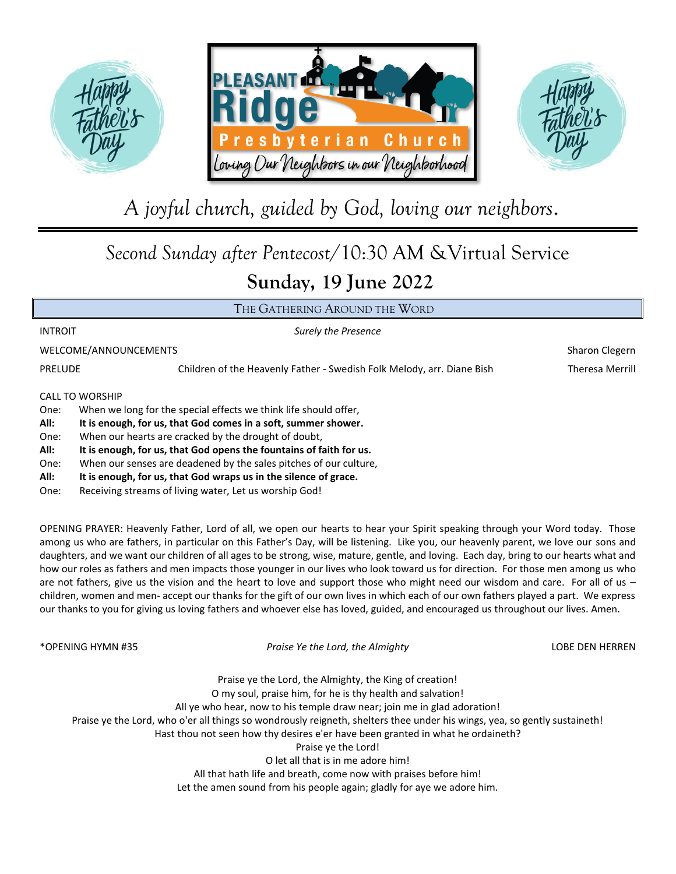





# *A joyful church, guided by God, loving our neighbors*.

## *Second Sunday after Pentecost*/10:30 AM &Virtual Service **Sunday, 19 June 2022**

### THE GATHERING AROUND THE WORD

INTROIT *Surely the Presence*

WELCOME/ANNOUNCEMENTS **Sharon Cleepen** Sharon Clegern

PRELUDE Children of the Heavenly Father - Swedish Folk Melody, arr. Diane Bish Theresa Merrill

CALL TO WORSHIP

- One: When we long for the special effects we think life should offer,
- **All: It is enough, for us, that God comes in a soft, summer shower.**
- One: When our hearts are cracked by the drought of doubt,

**All: It is enough, for us, that God opens the fountains of faith for us.**

One: When our senses are deadened by the sales pitches of our culture,

- **All: It is enough, for us, that God wraps us in the silence of grace.**
- One: Receiving streams of living water, Let us worship God!

OPENING PRAYER: Heavenly Father, Lord of all, we open our hearts to hear your Spirit speaking through your Word today. Those among us who are fathers, in particular on this Father's Day, will be listening. Like you, our heavenly parent, we love our sons and daughters, and we want our children of all ages to be strong, wise, mature, gentle, and loving. Each day, bring to our hearts what and how our roles as fathers and men impacts those younger in our lives who look toward us for direction. For those men among us who are not fathers, give us the vision and the heart to love and support those who might need our wisdom and care. For all of us children, women and men- accept our thanks for the gift of our own lives in which each of our own fathers played a part. We express our thanks to you for giving us loving fathers and whoever else has loved, guided, and encouraged us throughout our lives. Amen.

\*OPENING HYMN #35 *Praise Ye the Lord, the Almighty* LOBE DEN HERREN

Praise ye the Lord, the Almighty, the King of creation! O my soul, praise him, for he is thy health and salvation! All ye who hear, now to his temple draw near; join me in glad adoration! Praise ye the Lord, who o'er all things so wondrously reigneth, shelters thee under his wings, yea, so gently sustaineth! Hast thou not seen how thy desires e'er have been granted in what he ordaineth? Praise ye the Lord! O let all that is in me adore him! All that hath life and breath, come now with praises before him! Let the amen sound from his people again; gladly for aye we adore him.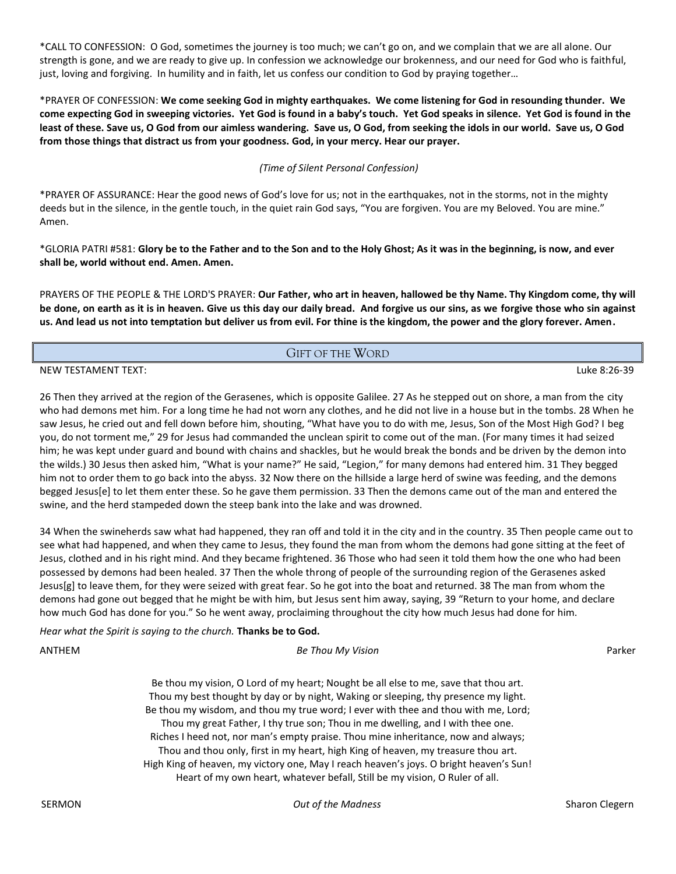\*CALL TO CONFESSION: O God, sometimes the journey is too much; we can't go on, and we complain that we are all alone. Our strength is gone, and we are ready to give up. In confession we acknowledge our brokenness, and our need for God who is faithful, just, loving and forgiving. In humility and in faith, let us confess our condition to God by praying together…

\*PRAYER OF CONFESSION: **We come seeking God in mighty earthquakes. We come listening for God in resounding thunder. We come expecting God in sweeping victories. Yet God is found in a baby's touch. Yet God speaks in silence. Yet God is found in the least of these. Save us, O God from our aimless wandering. Save us, O God, from seeking the idols in our world. Save us, O God from those things that distract us from your goodness. God, in your mercy. Hear our prayer.**

#### *(Time of Silent Personal Confession)*

\*PRAYER OF ASSURANCE: Hear the good news of God's love for us; not in the earthquakes, not in the storms, not in the mighty deeds but in the silence, in the gentle touch, in the quiet rain God says, "You are forgiven. You are my Beloved. You are mine." Amen.

\*GLORIA PATRI #581: **Glory be to the Father and to the Son and to the Holy Ghost; As it was in the beginning, is now, and ever shall be, world without end. Amen. Amen.**

PRAYERS OF THE PEOPLE & THE LORD'S PRAYER: **Our Father, who art in heaven, hallowed be thy Name. Thy Kingdom come, thy will be done, on earth as it is in heaven. Give us this day our daily bread. And forgive us our sins, as we forgive those who sin against us. And lead us not into temptation but deliver us from evil. For thine is the kingdom, the power and the glory forever. Amen.**

#### GIFT OF THE WORD

#### NEW TESTAMENT TEXT: Luke 8:26-39

26 Then they arrived at the region of the Gerasenes, which is opposite Galilee. 27 As he stepped out on shore, a man from the city who had demons met him. For a long time he had not worn any clothes, and he did not live in a house but in the tombs. 28 When he saw Jesus, he cried out and fell down before him, shouting, "What have you to do with me, Jesus, Son of the Most High God? I beg you, do not torment me," 29 for Jesus had commanded the unclean spirit to come out of the man. (For many times it had seized him; he was kept under guard and bound with chains and shackles, but he would break the bonds and be driven by the demon into the wilds.) 30 Jesus then asked him, "What is your name?" He said, "Legion," for many demons had entered him. 31 They begged him not to order them to go back into the abyss. 32 Now there on the hillside a large herd of swine was feeding, and the demons begged Jesus[e] to let them enter these. So he gave them permission. 33 Then the demons came out of the man and entered the swine, and the herd stampeded down the steep bank into the lake and was drowned.

34 When the swineherds saw what had happened, they ran off and told it in the city and in the country. 35 Then people came out to see what had happened, and when they came to Jesus, they found the man from whom the demons had gone sitting at the feet of Jesus, clothed and in his right mind. And they became frightened. 36 Those who had seen it told them how the one who had been possessed by demons had been healed. 37 Then the whole throng of people of the surrounding region of the Gerasenes asked Jesus[g] to leave them, for they were seized with great fear. So he got into the boat and returned. 38 The man from whom the demons had gone out begged that he might be with him, but Jesus sent him away, saying, 39 "Return to your home, and declare how much God has done for you." So he went away, proclaiming throughout the city how much Jesus had done for him.

*Hear what the Spirit is saying to the church.* **Thanks be to God.**

| ANTHEM | Be Thou My Vision                                                                    | Parker |
|--------|--------------------------------------------------------------------------------------|--------|
|        | Be thou my vision, O Lord of my heart; Nought be all else to me, save that thou art. |        |
|        | Thou my best thought by day or by night, Waking or sleeping, thy presence my light.  |        |
|        | Be thou my wisdom, and thou my true word; I ever with thee and thou with me, Lord;   |        |

Thou my great Father, I thy true son; Thou in me dwelling, and I with thee one. Riches I heed not, nor man's empty praise. Thou mine inheritance, now and always; Thou and thou only, first in my heart, high King of heaven, my treasure thou art. High King of heaven, my victory one, May I reach heaven's joys. O bright heaven's Sun! Heart of my own heart, whatever befall, Still be my vision, O Ruler of all.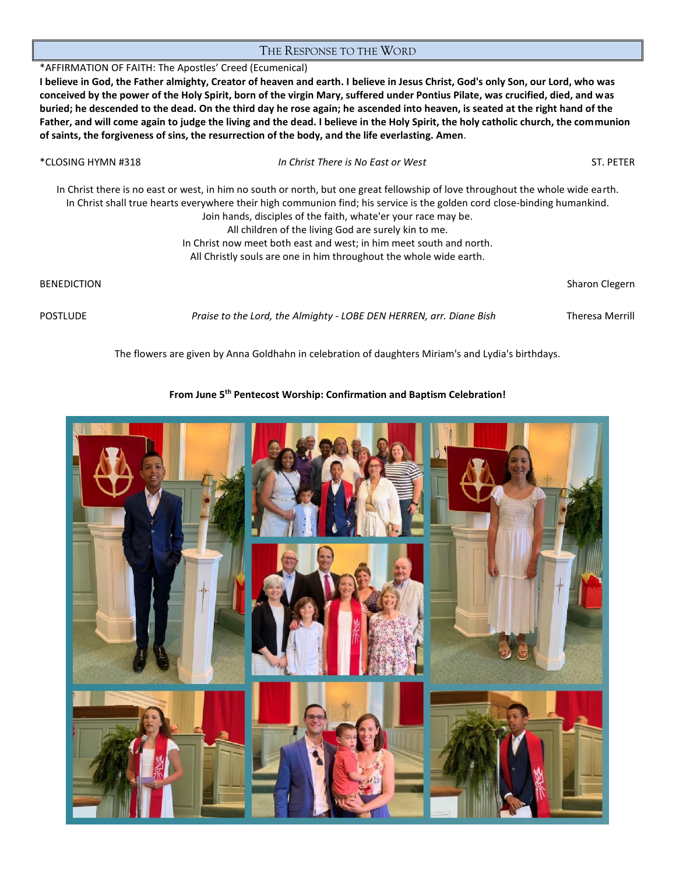#### THE RESPONSE TO THE WORD

\*AFFIRMATION OF FAITH: The Apostles' Creed (Ecumenical) **I believe in God, the Father almighty, Creator of heaven and earth. I believe in Jesus Christ, God's only Son, our Lord, who was** 

**conceived by the power of the Holy Spirit, born of the virgin Mary, suffered under Pontius Pilate, was crucified, died, and was buried; he descended to the dead. On the third day he rose again; he ascended into heaven, is seated at the right hand of the Father, and will come again to judge the living and the dead. I believe in the Holy Spirit, the holy catholic church, the communion of saints, the forgiveness of sins, the resurrection of the body, and the life everlasting. Amen**.

| *CLOSING HYMN #318 | In Christ There is No East or West                                                                                                                                                                                                                                                                                                                                                                                                                                                                                                  | ST. PETER       |
|--------------------|-------------------------------------------------------------------------------------------------------------------------------------------------------------------------------------------------------------------------------------------------------------------------------------------------------------------------------------------------------------------------------------------------------------------------------------------------------------------------------------------------------------------------------------|-----------------|
|                    | In Christ there is no east or west, in him no south or north, but one great fellowship of love throughout the whole wide earth.<br>In Christ shall true hearts everywhere their high communion find; his service is the golden cord close-binding humankind.<br>Join hands, disciples of the faith, whate'er your race may be.<br>All children of the living God are surely kin to me.<br>In Christ now meet both east and west; in him meet south and north.<br>All Christly souls are one in him throughout the whole wide earth. |                 |
| <b>BENEDICTION</b> |                                                                                                                                                                                                                                                                                                                                                                                                                                                                                                                                     | Sharon Clegern  |
| <b>POSTLUDE</b>    | Praise to the Lord, the Almighty - LOBE DEN HERREN, arr. Diane Bish                                                                                                                                                                                                                                                                                                                                                                                                                                                                 | Theresa Merrill |

The flowers are given by Anna Goldhahn in celebration of daughters Miriam's and Lydia's birthdays.

### **From June 5th Pentecost Worship: Confirmation and Baptism Celebration!**